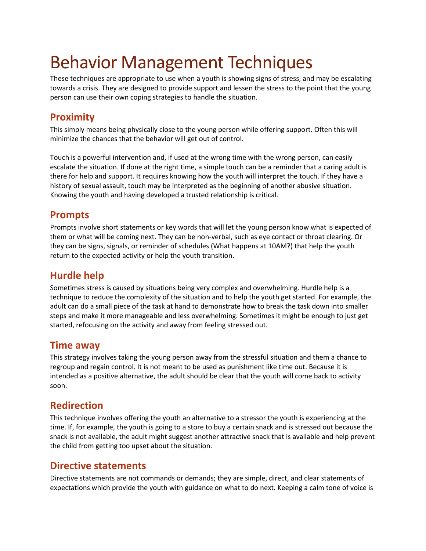# Behavior Management Techniques

These techniques are appropriate to use when a youth is showing signs of stress, and may be escalating towards a crisis. They are designed to provide support and lessen the stress to the point that the young person can use their own coping strategies to handle the situation.

## **Proximity**

This simply means being physically close to the young person while offering support. Often this will minimize the chances that the behavior will get out of control.

Touch is a powerful intervention and, if used at the wrong time with the wrong person, can easily escalate the situation. If done at the right time, a simple touch can be a reminder that a caring adult is there for help and support. It requires knowing how the youth will interpret the touch. If they have a history of sexual assault, touch may be interpreted as the beginning of another abusive situation. Knowing the youth and having developed a trusted relationship is critical.

#### **Prompts**

Prompts involve short statements or key words that will let the young person know what is expected of them or what will be coming next. They can be non-verbal, such as eye contact or throat clearing. Or they can be signs, signals, or reminder of schedules (What happens at 10AM?) that help the youth return to the expected activity or help the youth transition.

### **Hurdle help**

Sometimes stress is caused by situations being very complex and overwhelming. Hurdle help is a technique to reduce the complexity of the situation and to help the youth get started. For example, the adult can do a small piece of the task at hand to demonstrate how to break the task down into smaller steps and make it more manageable and less overwhelming. Sometimes it might be enough to just get started, refocusing on the activity and away from feeling stressed out.

#### **Time away**

This strategy involves taking the young person away from the stressful situation and them a chance to regroup and regain control. It is not meant to be used as punishment like time out. Because it is intended as a positive alternative, the adult should be clear that the youth will come back to activity soon.

#### **Redirection**

This technique involves offering the youth an alternative to a stressor the youth is experiencing at the time. If, for example, the youth is going to a store to buy a certain snack and is stressed out because the snack is not available, the adult might suggest another attractive snack that is available and help prevent the child from getting too upset about the situation.

#### **Directive statements**

Directive statements are not commands or demands; they are simple, direct, and clear statements of expectations which provide the youth with guidance on what to do next. Keeping a calm tone of voice is